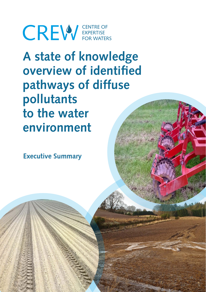**CREW** EXPERTISE

**A state of knowledge overview of identified pathways of diffuse pollutants to the water environment**

**Executive Summary**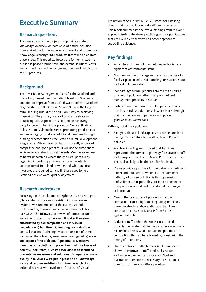# **Executive Summary**

#### **Research questions**

The overall aim of the project is to provide a state of knowledge overview on pathways of diffuse pollution from agriculture to the water environment and to produce Knowledge Exchange (KE) products that will help address these issues. This report addresses the former, answering questions posed around scale and extent, solutions, costs, impacts and gaps in knowledge and these will help inform the KE products.

### **Background**

The River Basin Management Plans for the Scotland and the Solway Tweed river basin districts set out Scotland's ambition to improve from 62% of waterbodies in Scotland at good status to 88% by 2027, and 93% in the longer term. Tackling rural diffuse pollution is key to achieving these aims. The primary focus of Scotland's strategy to tackling diffuse pollution is centred on achieving compliance with the diffuse pollution General Binding Rules, Nitrate Vulnerable Zones, promoting good practice and encouraging uptake of additional measures through funding schemes such as the Scotland Rural Development Programme. While this effort has significantly improved compliance and good practice, it will not be sufficient to achieve good status in all catchments. We therefore need to better understand where the gaps are, particularly regarding important pathways i.e., how pollutants are transferred from land to water and what practical measures are required to help fill these gaps to help Scotland achieve water quality objectives.

#### **Research undertaken**

Focussing on the pollutants phosphorus (P) and nitrogen (N), a systematic review of existing information and evidence was undertaken of the current scientific understanding of runoff and erosion diffuse pollution pathways. The following pathways of diffuse pollution were investigated: i) **surface runoff and soil erosion, exacerbated by soil compaction and structural degradation** ii) **tramlines**, iii) **leaching,** iv) **drain-flow** and v) **hotspots**. Gathering evidence for each of these pathways, the following areas were investigated: a) **scale and extent of the problem**, b) **practical preventative measures** and **solutions to prevent or minimise losses of potential pollutants**, c) **costs associated with identified preventative measures and solutions**, d) **impacts on water quality if solutions were put in place** and e) **knowledge gaps and recommendations for future research**. Also included is a review of evidence of the use of Visual

Evaluation of Soil Structure (VESS) scores for assessing drivers of diffuse pollution under different scenarios. This report summarises the overall findings from relevant applied scientific literature, practical guidance publications that are available to farmers and other appropriate supporting evidence.

## **Key findings**

- Agricultural diffuse pollution into water bodies is a significant environmental issue.
- Good soil nutrient management such as the use of a fertiliser plan linked to soil sampling for nutrient status and soil pH is important.
- Standard agricultural practices are the main source of N and P pollution rather than poor nutrient management practices in Scotland.
- Surface runoff and erosion are the principal source of P loss in cultivated, drier soils while P loss through drains is the dominant pathway in improved grasslands on wetter soils.

Pathways of diffuse pollution:

- Soil type, climate, landscape characteristics and land management contribute to diffuse N and P water pollution.
- Arable soils in England showed that tramlines represented the dominant pathway for surface runoff and transport of sediment, N and P from cereal crops. This is also likely to be the case for Scotland.
- Drains provide a pathway for the delivery of sediment and N and P to surface waters but the dominant pathway of diffuse pollution is through erosion and sediment transport. This erosion and sediment transport is increased and exacerbated by damage to soil structure.
- One of the key causes of poor soil structure is compaction caused by trafficking along tramlines, therefore structural degradation and tramlines contribute to losses of N and P from Scottish agricultural soils.
- Reducing traffic when the soil is close to field capacity (i.e., water held in the soil after excess water has drained away) would reduce the potential for compaction, this can be achieved by considering the timing of operations.
- Use of controlled traffic farming (CTF) has been shown to improve 'untrafficked' soil structure and water movement and storage in Scotland but tramlines (which are necessary for CTF) are a dominant pathway of diffuse pollution.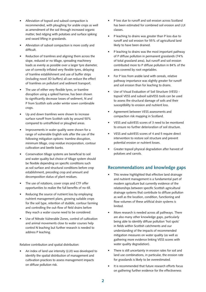- Alleviation of topsoil and subsoil compaction is recommended, with ploughing for arable crops as well as amendment of the soil through increased organic matter, tied ridging with potatoes and surface spiking and sward lifting in grasslands.
- Alleviation of subsoil compaction is more costly and difficult.
- Reduction of tramlines and aligning them across the slope, reduced or no tillage, spreading machinery loads as evenly as possible over a larger tyre diameter, use of correctly inflated very flexible tyres, delaying of tramline establishment and use of buffer strips (including novel 3D buffers) all can reduce the effect of tramlines on pollutant and sediment transport.
- The use of either very flexible tyres, or tramline disruption using a spiked harrow, has been shown to significantly decrease losses of sediment, N and P from Scottish soils under winter sown combinable crops.
- Up and down tramlines were shown to increase surface runoff from Scottish soils by around 50% compared to untrafficked or ploughed areas.
- Improvements in water quality were shown for a range of vulnerable English soils after the use of the following mitigation options: tramline disruption, minimum tillage, crop residue incorporation, contour cultivation and beetle banks.
- Conservation tillage systems are beneficial to soil and water quality but choice of tillage system should be flexible depending on specific conditions such as soil surface and structural conditions before crop establishment, preceding crop and amount and decomposition status of plant residues.
- The use of rotations, cover crops and CTF offer opportunities to realize the full benefits of no-till.
- Reducing the source of nutrient loss by employing nutrient management plans, growing suitable crops for the soil type, retention of stubble, contour farming and controlling the out-flow of field drains before they reach a water course need to be considered.
- Use of Nitrate Vulnerable Zones, control of cultivation and animal movements close to water courses help control N leaching but further research is needed to address P leaching.

Relative contribution and spatial distribution:

• An index of land use intensity (LUI) was developed to identify the spatial distribution of management and cultivation practices to assess management impacts on diffuse pollution risk.

- P loss due to runoff and soil erosion across Scotland has been estimated for combined soil erosion and LUI classes.
- P leaching to drains was greater than P loss due to runoff and soil erosion for 55% of agricultural land likely to have been drained.
- P leaching to drains was the most important pathway of P diffuse pollution in permanent grasslands (74% of total grassland area), but runoff and soil erosion contributed more to P diffuse pollution in 84% of the area covered by root vegetables.
- For P loss from arable land with cereals, relative pathway importance was slightly greater for runoff and soil erosion than for leaching to drains.
- Use of Visual Evaluation of Soil Structure (VESS) topsoil VESS and subsoil subVESS tools can be used to assess the structural damage of soils and their susceptibility to erosion and nutrient loss.
- Agreement between VESS assessments and compaction risk mapping in Scotland.
- VESS and subVESS scores of 3 need to be monitored to ensure no further deterioration of soil structure.
- VESS and subVESS scores of 4 and 5 require direct intervention to restore soil structure and prevent potential erosion or nutrient losses.
- Greater topsoil physical degradation after harvest of potatoes and carrots.

#### **Recommendations and knowledge gaps**

- This review highlighted that effective land drainage and nutrient management is a fundamental part of modern agriculture but currently evidence of the relationships between specific Scottish agricultural drainage systems that contribute to diffuse pollution as well as the location, condition, functioning and flow volumes of these artificial drain systems is limited.
- More research is needed across all pathways. There are also many other knowledge gaps, particularly being able to identify diffuse pollution 'hot spots' in fields within Scottish catchments and our understanding of the impacts of recommended mitigation measures on water quality (as well as gathering more evidence linking VESS scores with water quality degradation).
- There is still uncertainty in erosion rates for soil and land use combinations, in particular, the erosion rate for grasslands is likely to be overestimated.
- It is recommended that future research efforts focus on gathering further evidence for the effectiveness